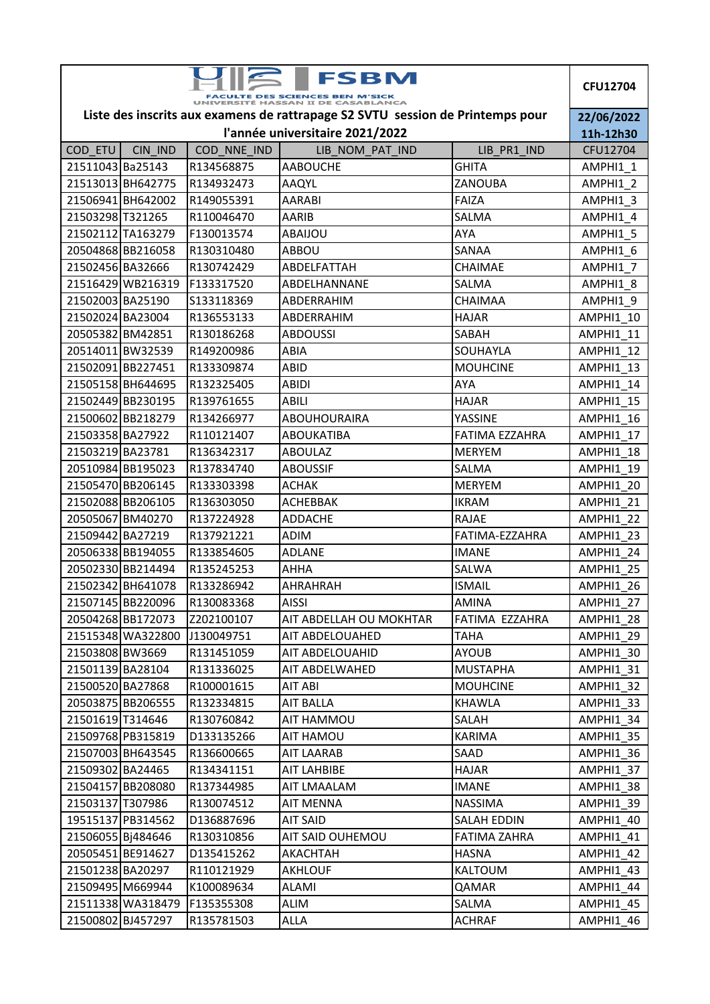| <b>FSBM</b>                                                                    |                   |             |                         |                       | <b>CFU12704</b>       |
|--------------------------------------------------------------------------------|-------------------|-------------|-------------------------|-----------------------|-----------------------|
| Liste des inscrits aux examens de rattrapage S2 SVTU session de Printemps pour |                   |             |                         |                       |                       |
| l'année universitaire 2021/2022                                                |                   |             |                         |                       |                       |
| COD_ETU                                                                        | CIN IND           | COD_NNE_IND | LIB NOM PAT IND         | LIB PR1 IND           | 11h-12h30<br>CFU12704 |
| 21511043 Ba25143                                                               |                   | R134568875  | <b>AABOUCHE</b>         | <b>GHITA</b>          | AMPHI1 1              |
|                                                                                | 21513013 BH642775 | R134932473  | AAQYL                   | ZANOUBA               | AMPHI1 2              |
|                                                                                | 21506941 BH642002 | R149055391  | <b>AARABI</b>           | <b>FAIZA</b>          | AMPHI1 3              |
| 21503298 T321265                                                               |                   | R110046470  | <b>AARIB</b>            | <b>SALMA</b>          | AMPHI1 4              |
|                                                                                | 21502112 TA163279 | F130013574  | ABAIJOU                 | <b>AYA</b>            | AMPHI1 5              |
|                                                                                | 20504868 BB216058 | R130310480  | <b>ABBOU</b>            | SANAA                 | AMPHI1 6              |
| 21502456 BA32666                                                               |                   | R130742429  | ABDELFATTAH             | CHAIMAE               | AMPHI1 7              |
|                                                                                | 21516429 WB216319 | F133317520  | ABDELHANNANE            | SALMA                 | AMPHI1 8              |
| 21502003 BA25190                                                               |                   | \$133118369 | ABDERRAHIM              | <b>CHAIMAA</b>        | AMPHI1 9              |
| 21502024 BA23004                                                               |                   | R136553133  | ABDERRAHIM              | <b>HAJAR</b>          | AMPHI1 10             |
| 20505382 BM42851                                                               |                   | R130186268  | <b>ABDOUSSI</b>         | SABAH                 | AMPHI1 11             |
| 20514011 BW32539                                                               |                   | R149200986  | ABIA                    | SOUHAYLA              | AMPHI1 12             |
|                                                                                | 21502091 BB227451 | R133309874  | <b>ABID</b>             | <b>MOUHCINE</b>       | AMPHI1 13             |
|                                                                                | 21505158 BH644695 | R132325405  | <b>ABIDI</b>            | <b>AYA</b>            | AMPHI1 14             |
|                                                                                | 21502449 BB230195 | R139761655  | <b>ABILI</b>            | <b>HAJAR</b>          | AMPHI1 15             |
|                                                                                | 21500602 BB218279 | R134266977  | <b>ABOUHOURAIRA</b>     | YASSINE               | AMPHI1 16             |
| 21503358 BA27922                                                               |                   | R110121407  | <b>ABOUKATIBA</b>       | <b>FATIMA EZZAHRA</b> | AMPHI1 17             |
| 21503219 BA23781                                                               |                   | R136342317  | <b>ABOULAZ</b>          | <b>MERYEM</b>         | AMPHI1 18             |
|                                                                                | 20510984 BB195023 | R137834740  | <b>ABOUSSIF</b>         | <b>SALMA</b>          | AMPHI1 19             |
|                                                                                | 21505470 BB206145 | R133303398  | <b>ACHAK</b>            | <b>MERYEM</b>         | AMPHI1 20             |
|                                                                                | 21502088BB206105  | R136303050  | <b>ACHEBBAK</b>         | <b>IKRAM</b>          | AMPHI1 21             |
| 20505067 BM40270                                                               |                   | R137224928  | <b>ADDACHE</b>          | <b>RAJAE</b>          | AMPHI1 22             |
| 21509442 BA27219                                                               |                   | R137921221  | <b>ADIM</b>             | FATIMA-EZZAHRA        | AMPHI1 23             |
|                                                                                | 20506338 BB194055 | R133854605  | <b>ADLANE</b>           | <b>IMANE</b>          | AMPHI1 24             |
|                                                                                | 20502330 BB214494 | R135245253  | <b>AHHA</b>             | SALWA                 | AMPHI1 25             |
|                                                                                | 21502342 BH641078 | R133286942  | <b>AHRAHRAH</b>         | <b>ISMAIL</b>         | AMPHI1 26             |
|                                                                                | 21507145 BB220096 | R130083368  | <b>AISSI</b>            | <b>AMINA</b>          | AMPHI1 27             |
|                                                                                | 20504268 BB172073 | Z202100107  | AIT ABDELLAH OU MOKHTAR | FATIMA EZZAHRA        | AMPHI1 28             |
|                                                                                | 21515348 WA322800 | J130049751  | AIT ABDELOUAHED         | <b>TAHA</b>           | AMPHI1 29             |
| 21503808 BW3669                                                                |                   | R131451059  | AIT ABDELOUAHID         | <b>AYOUB</b>          | AMPHI1_30             |
| 21501139 BA28104                                                               |                   | R131336025  | AIT ABDELWAHED          | <b>MUSTAPHA</b>       | AMPHI1 31             |
| 21500520 BA27868                                                               |                   | R100001615  | AIT ABI                 | <b>MOUHCINE</b>       | AMPHI1 32             |
|                                                                                | 20503875 BB206555 | R132334815  | <b>AIT BALLA</b>        | <b>KHAWLA</b>         | AMPHI1 33             |
| 21501619 T314646                                                               |                   | R130760842  | AIT HAMMOU              | SALAH                 | AMPHI1 34             |
|                                                                                | 21509768 PB315819 | D133135266  | <b>AIT HAMOU</b>        | <b>KARIMA</b>         | AMPHI1 35             |
|                                                                                | 21507003 BH643545 | R136600665  | <b>AIT LAARAB</b>       | SAAD                  | AMPHI1 36             |
| 21509302 BA24465                                                               |                   | R134341151  | AIT LAHBIBE             | <b>HAJAR</b>          | AMPHI1 37             |
|                                                                                | 21504157 BB208080 | R137344985  | AIT LMAALAM             | <b>IMANE</b>          | AMPHI1 38             |
| 21503137 T307986                                                               |                   | R130074512  | <b>AIT MENNA</b>        | <b>NASSIMA</b>        | AMPHI1 39             |
|                                                                                | 19515137 PB314562 | D136887696  | AIT SAID                | <b>SALAH EDDIN</b>    | AMPHI1 40             |
| 21506055 Bj484646                                                              |                   | R130310856  | AIT SAID OUHEMOU        | FATIMA ZAHRA          | AMPHI1 41             |
|                                                                                | 20505451 BE914627 | D135415262  | AKACHTAH                | <b>HASNA</b>          | AMPHI1 42             |
| 21501238 BA20297                                                               |                   | R110121929  | <b>AKHLOUF</b>          | KALTOUM               | AMPHI1 43             |
| 21509495 M669944                                                               |                   | K100089634  | ALAMI                   | QAMAR                 | AMPHI1 44             |
|                                                                                | 21511338 WA318479 | F135355308  | ALIM                    | SALMA                 | AMPHI1 45             |
| 21500802 BJ457297                                                              |                   | R135781503  | ALLA                    | <b>ACHRAF</b>         | AMPHI1 46             |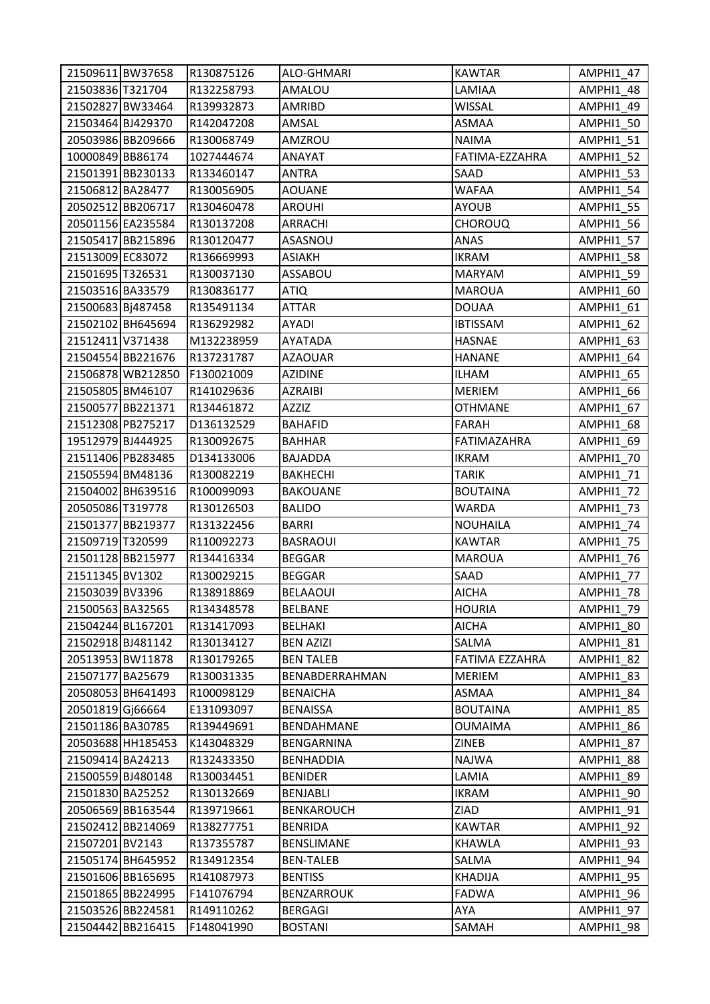| 21509611 BW37658  |                   | R130875126 | ALO-GHMARI        | <b>KAWTAR</b>   | AMPHI1 47        |
|-------------------|-------------------|------------|-------------------|-----------------|------------------|
| 21503836 T321704  |                   | R132258793 | AMALOU            | LAMIAA          | AMPHI1 48        |
| 21502827 BW33464  |                   | R139932873 | AMRIBD            | WISSAL          | AMPHI1 49        |
| 21503464 BJ429370 |                   | R142047208 | AMSAL             | ASMAA           | AMPHI1_50        |
|                   | 20503986 BB209666 | R130068749 | AMZROU            | <b>NAIMA</b>    | <b>AMPHI1_51</b> |
| 10000849 BB86174  |                   | 1027444674 | ANAYAT            | FATIMA-EZZAHRA  | <b>AMPHI1_52</b> |
|                   | 21501391 BB230133 | R133460147 | <b>ANTRA</b>      | SAAD            | AMPHI1_53        |
| 21506812 BA28477  |                   | R130056905 | <b>AOUANE</b>     | WAFAA           | AMPHI1_54        |
|                   | 20502512 BB206717 | R130460478 | <b>AROUHI</b>     | AYOUB           | <b>AMPHI1 55</b> |
|                   | 20501156 EA235584 | R130137208 | <b>ARRACHI</b>    | <b>CHOROUQ</b>  | AMPHI1_56        |
|                   | 21505417 BB215896 | R130120477 | ASASNOU           | ANAS            | <b>AMPHI1 57</b> |
| 21513009 EC83072  |                   | R136669993 | <b>ASIAKH</b>     | <b>IKRAM</b>    | AMPHI1_58        |
| 21501695 T326531  |                   | R130037130 | ASSABOU           | <b>MARYAM</b>   | AMPHI1_59        |
| 21503516 BA33579  |                   | R130836177 | <b>ATIQ</b>       | <b>MAROUA</b>   | AMPHI1 60        |
| 21500683 Bj487458 |                   | R135491134 | <b>ATTAR</b>      | <b>DOUAA</b>    | AMPHI1 61        |
|                   | 21502102 BH645694 | R136292982 | AYADI             | <b>IBTISSAM</b> | AMPHI1 62        |
| 21512411 V371438  |                   | M132238959 | AYATADA           | <b>HASNAE</b>   | AMPHI1_63        |
|                   | 21504554 BB221676 | R137231787 | AZAOUAR           | <b>HANANE</b>   | AMPHI1_64        |
|                   | 21506878 WB212850 | F130021009 | <b>AZIDINE</b>    | ILHAM           | <b>AMPHI1 65</b> |
|                   | 21505805 BM46107  | R141029636 | <b>AZRAIBI</b>    | <b>MERIEM</b>   | AMPHI1_66        |
|                   | 21500577 BB221371 | R134461872 | AZZIZ             | <b>OTHMANE</b>  | AMPHI1_67        |
|                   | 21512308 PB275217 | D136132529 | <b>BAHAFID</b>    | <b>FARAH</b>    | AMPHI1 68        |
| 19512979 BJ444925 |                   | R130092675 | <b>BAHHAR</b>     | FATIMAZAHRA     | AMPHI1 69        |
|                   | 21511406 PB283485 | D134133006 | <b>BAJADDA</b>    | IKRAM           | AMPHI1_70        |
| 21505594 BM48136  |                   | R130082219 | <b>BAKHECHI</b>   | TARIK           | AMPHI1_71        |
|                   | 21504002 BH639516 | R100099093 | <b>BAKOUANE</b>   | <b>BOUTAINA</b> | AMPHI1 72        |
| 20505086 T319778  |                   | R130126503 | <b>BALIDO</b>     | WARDA           | AMPHI1 73        |
|                   | 21501377 BB219377 | R131322456 | BARRI             | <b>NOUHAILA</b> | AMPHI1 74        |
| 21509719 T320599  |                   | R110092273 | <b>BASRAOUI</b>   | <b>KAWTAR</b>   | AMPHI1_75        |
|                   | 21501128 BB215977 | R134416334 | <b>BEGGAR</b>     | <b>MAROUA</b>   | AMPHI1 76        |
| 21511345 BV1302   |                   | R130029215 | <b>BEGGAR</b>     | SAAD            | AMPHI1 77        |
| 21503039 BV3396   |                   | R138918869 | <b>BELAAOUI</b>   | <b>AICHA</b>    | AMPHI1 78        |
| 21500563 BA32565  |                   | R134348578 | <b>BELBANE</b>    | <b>HOURIA</b>   | <b>AMPHI1 79</b> |
| 21504244 BL167201 |                   | R131417093 | <b>BELHAKI</b>    | <b>AICHA</b>    | AMPHI1_80        |
| 21502918 BJ481142 |                   | R130134127 | <b>BEN AZIZI</b>  | SALMA           | AMPHI1 81        |
|                   | 20513953 BW11878  | R130179265 | <b>BEN TALEB</b>  | FATIMA EZZAHRA  | AMPHI1 82        |
| 21507177 BA25679  |                   | R130031335 | BENABDERRAHMAN    | MERIEM          | AMPHI1 83        |
|                   | 20508053 BH641493 | R100098129 | <b>BENAICHA</b>   | ASMAA           | AMPHI1 84        |
| 20501819 Gj66664  |                   | E131093097 | <b>BENAISSA</b>   | <b>BOUTAINA</b> | AMPHI1_85        |
| 21501186 BA30785  |                   | R139449691 | BENDAHMANE        | <b>OUMAIMA</b>  | AMPHI1_86        |
|                   | 20503688 HH185453 | K143048329 | BENGARNINA        | ZINEB           | AMPHI1_87        |
| 21509414 BA24213  |                   | R132433350 | <b>BENHADDIA</b>  | NAJWA           | AMPHI1 88        |
| 21500559 BJ480148 |                   | R130034451 | <b>BENIDER</b>    | LAMIA           | AMPHI1_89        |
| 21501830 BA25252  |                   | R130132669 | <b>BENJABLI</b>   | IKRAM           | AMPHI1 90        |
|                   | 20506569 BB163544 | R139719661 | <b>BENKAROUCH</b> | ZIAD            | AMPHI1_91        |
|                   | 21502412 BB214069 | R138277751 | <b>BENRIDA</b>    | <b>KAWTAR</b>   | AMPHI1_92        |
| 21507201BV2143    |                   | R137355787 | BENSLIMANE        | KHAWLA          | AMPHI1_93        |
|                   | 21505174 BH645952 | R134912354 | <b>BEN-TALEB</b>  | SALMA           | AMPHI1 94        |
|                   | 21501606 BB165695 | R141087973 | <b>BENTISS</b>    | <b>KHADIJA</b>  | AMPHI1_95        |
|                   | 21501865 BB224995 | F141076794 | <b>BENZARROUK</b> | FADWA           | AMPHI1_96        |
|                   | 21503526 BB224581 | R149110262 | BERGAGI           | AYA             | AMPHI1_97        |
|                   | 21504442 BB216415 | F148041990 | <b>BOSTANI</b>    | SAMAH           | AMPHI1_98        |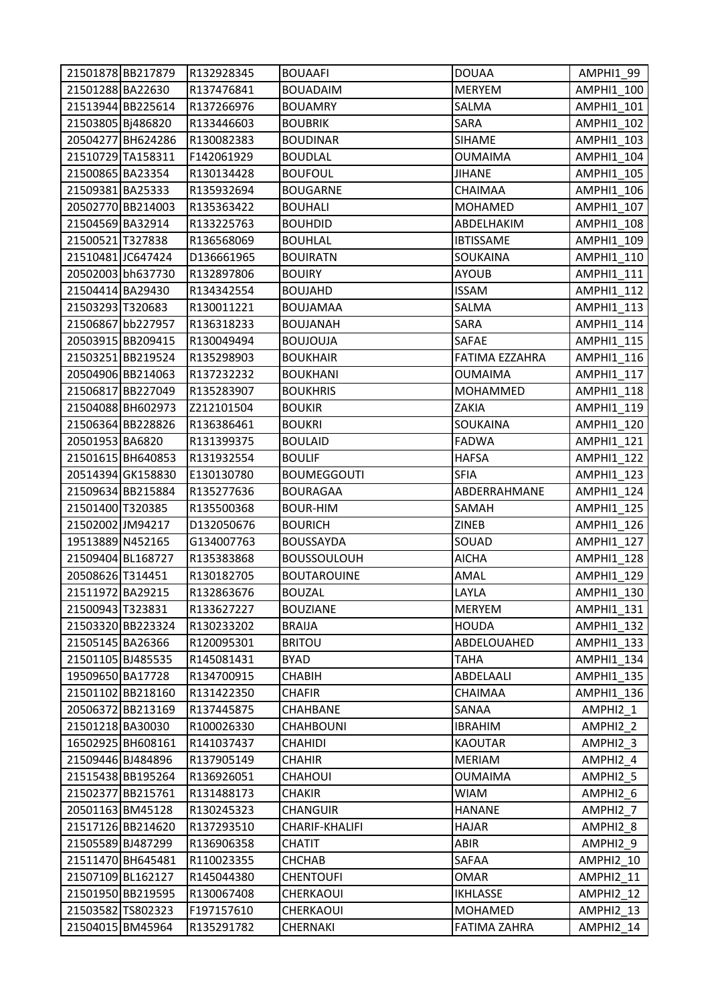|                   | 21501878 BB217879 | R132928345 | <b>BOUAAFI</b>     | <b>DOUAA</b>        | AMPHI1 99         |
|-------------------|-------------------|------------|--------------------|---------------------|-------------------|
| 21501288 BA22630  |                   | R137476841 | <b>BOUADAIM</b>    | <b>MERYEM</b>       | AMPHI1 100        |
|                   | 21513944 BB225614 | R137266976 | <b>BOUAMRY</b>     | SALMA               | AMPHI1 101        |
| 21503805 Bj486820 |                   | R133446603 | <b>BOUBRIK</b>     | SARA                | AMPHI1 102        |
|                   | 20504277 BH624286 | R130082383 | <b>BOUDINAR</b>    | <b>SIHAME</b>       | AMPHI1_103        |
|                   | 21510729 TA158311 | F142061929 | <b>BOUDLAL</b>     | <b>OUMAIMA</b>      | AMPHI1_104        |
| 21500865 BA23354  |                   | R130134428 | <b>BOUFOUL</b>     | <b>JIHANE</b>       | AMPHI1 105        |
| 21509381 BA25333  |                   | R135932694 | <b>BOUGARNE</b>    | CHAIMAA             | AMPHI1 106        |
|                   | 20502770 BB214003 | R135363422 | <b>BOUHALI</b>     | <b>MOHAMED</b>      | AMPHI1 107        |
| 21504569 BA32914  |                   | R133225763 | <b>BOUHDID</b>     | ABDELHAKIM          | AMPHI1_108        |
| 21500521 T327838  |                   | R136568069 | <b>BOUHLAL</b>     | <b>IBTISSAME</b>    | AMPHI1 109        |
| 21510481 JC647424 |                   | D136661965 | <b>BOUIRATN</b>    | SOUKAINA            | AMPHI1_110        |
|                   | 20502003 bh637730 | R132897806 | <b>BOUIRY</b>      | <b>AYOUB</b>        | AMPHI1_111        |
| 21504414 BA29430  |                   | R134342554 | <b>BOUJAHD</b>     | <b>ISSAM</b>        | AMPHI1 112        |
| 21503293 T320683  |                   | R130011221 | <b>BOUJAMAA</b>    | SALMA               | AMPHI1 113        |
|                   | 21506867 bb227957 | R136318233 | <b>BOUJANAH</b>    | <b>SARA</b>         | AMPHI1_114        |
|                   | 20503915 BB209415 | R130049494 | <b>BOUJOUJA</b>    | SAFAE               | AMPHI1 115        |
|                   | 21503251 BB219524 | R135298903 | <b>BOUKHAIR</b>    | FATIMA EZZAHRA      | AMPHI1 116        |
|                   | 20504906 BB214063 | R137232232 | <b>BOUKHANI</b>    | <b>OUMAIMA</b>      | AMPHI1_117        |
|                   | 21506817 BB227049 | R135283907 | <b>BOUKHRIS</b>    | <b>MOHAMMED</b>     | AMPHI1 118        |
|                   | 21504088 BH602973 | Z212101504 | <b>BOUKIR</b>      | ZAKIA               | AMPHI1 119        |
|                   | 21506364 BB228826 | R136386461 | <b>BOUKRI</b>      | SOUKAINA            | AMPHI1 120        |
| 20501953 BA6820   |                   | R131399375 | <b>BOULAID</b>     | <b>FADWA</b>        | AMPHI1 121        |
|                   | 21501615 BH640853 | R131932554 | <b>BOULIF</b>      | <b>HAFSA</b>        | <b>AMPHI1_122</b> |
|                   | 20514394 GK158830 | E130130780 | <b>BOUMEGGOUTI</b> | <b>SFIA</b>         | AMPHI1_123        |
|                   | 21509634 BB215884 | R135277636 | <b>BOURAGAA</b>    | ABDERRAHMANE        | AMPHI1_124        |
| 21501400 T320385  |                   | R135500368 | <b>BOUR-HIM</b>    | SAMAH               | AMPHI1 125        |
| 21502002 JM94217  |                   | D132050676 | <b>BOURICH</b>     | <b>ZINEB</b>        | AMPHI1_126        |
| 19513889 N452165  |                   | G134007763 | <b>BOUSSAYDA</b>   | SOUAD               | AMPHI1 127        |
| 21509404 BL168727 |                   | R135383868 | <b>BOUSSOULOUH</b> | <b>AICHA</b>        | <b>AMPHI1 128</b> |
| 20508626 T314451  |                   | R130182705 | <b>BOUTAROUINE</b> | AMAL                | AMPHI1 129        |
| 21511972 BA29215  |                   | R132863676 | <b>BOUZAL</b>      | LAYLA               | AMPHI1 130        |
| 21500943 T323831  |                   | R133627227 | <b>BOUZIANE</b>    | <b>MERYEM</b>       | AMPHI1 131        |
|                   | 21503320 BB223324 | R130233202 | <b>BRAIJA</b>      | <b>HOUDA</b>        | AMPHI1_132        |
| 21505145 BA26366  |                   | R120095301 | <b>BRITOU</b>      | ABDELOUAHED         | AMPHI1 133        |
| 21501105 BJ485535 |                   | R145081431 | <b>BYAD</b>        | <b>TAHA</b>         | AMPHI1 134        |
| 19509650 BA17728  |                   | R134700915 | <b>CHABIH</b>      | ABDELAALI           | AMPHI1 135        |
|                   | 21501102 BB218160 | R131422350 | <b>CHAFIR</b>      | CHAIMAA             | AMPHI1 136        |
|                   | 20506372 BB213169 | R137445875 | CHAHBANE           | SANAA               | AMPHI2_1          |
| 21501218 BA30030  |                   | R100026330 | <b>CHAHBOUNI</b>   | <b>IBRAHIM</b>      | AMPHI2 2          |
|                   | 16502925 BH608161 | R141037437 | <b>CHAHIDI</b>     | <b>KAOUTAR</b>      | AMPHI2 3          |
| 21509446 BJ484896 |                   | R137905149 | <b>CHAHIR</b>      | <b>MERIAM</b>       | AMPHI2 4          |
|                   | 21515438 BB195264 | R136926051 | <b>CHAHOUI</b>     | <b>OUMAIMA</b>      | AMPHI2 5          |
|                   | 21502377 BB215761 | R131488173 | <b>CHAKIR</b>      | <b>WIAM</b>         | AMPHI2 6          |
|                   | 20501163 BM45128  | R130245323 | <b>CHANGUIR</b>    | <b>HANANE</b>       | AMPHI2 7          |
|                   | 21517126 BB214620 | R137293510 | CHARIF-KHALIFI     | <b>HAJAR</b>        | AMPHI2_8          |
| 21505589 BJ487299 |                   | R136906358 | <b>CHATIT</b>      | ABIR                | AMPHI2 9          |
|                   | 21511470 BH645481 | R110023355 | <b>CHCHAB</b>      | SAFAA               | AMPHI2 10         |
|                   | 21507109 BL162127 | R145044380 | <b>CHENTOUFI</b>   | OMAR                | AMPHI2_11         |
|                   | 21501950 BB219595 | R130067408 | CHERKAOUI          | <b>IKHLASSE</b>     | AMPHI2_12         |
|                   | 21503582 TS802323 | F197157610 | CHERKAOUI          | <b>MOHAMED</b>      | AMPHI2_13         |
|                   | 21504015 BM45964  | R135291782 | CHERNAKI           | <b>FATIMA ZAHRA</b> | AMPHI2_14         |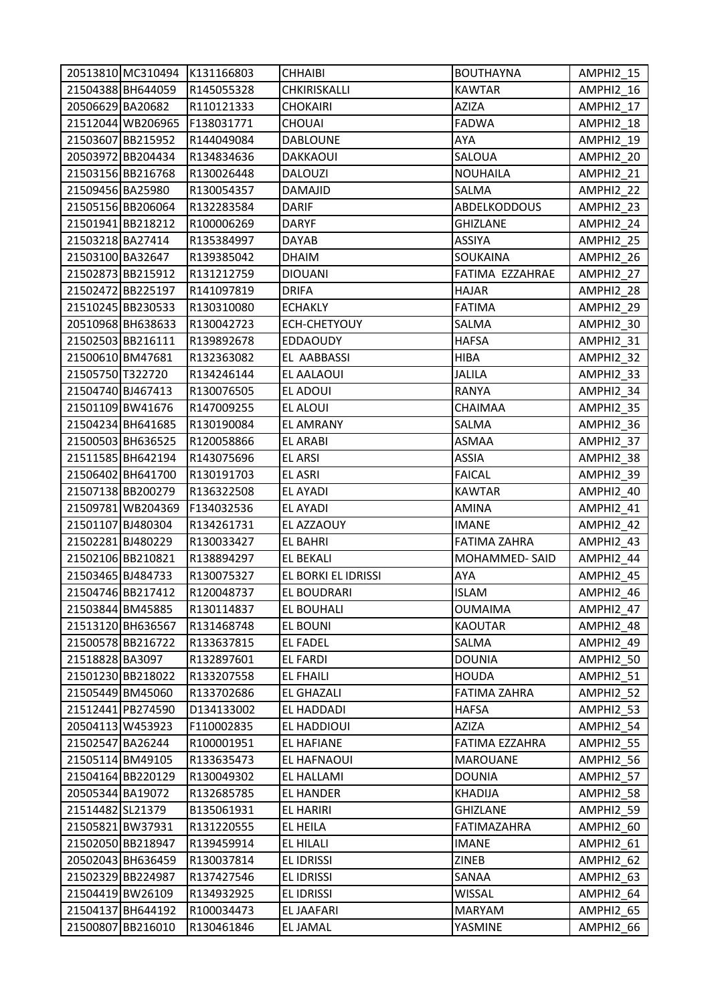|                  |                   | 20513810 MC310494 K131166803 | <b>CHHAIBI</b>      | <b>BOUTHAYNA</b>    | AMPHI2 15 |
|------------------|-------------------|------------------------------|---------------------|---------------------|-----------|
|                  | 21504388 BH644059 | R145055328                   | CHKIRISKALLI        | <b>KAWTAR</b>       | AMPHI2_16 |
| 20506629 BA20682 |                   | R110121333                   | <b>CHOKAIRI</b>     | AZIZA               | AMPHI2 17 |
|                  | 21512044 WB206965 | F138031771                   | CHOUAI              | FADWA               | AMPHI2 18 |
|                  | 21503607 BB215952 | R144049084                   | <b>DABLOUNE</b>     | AYA                 | AMPHI2_19 |
|                  | 20503972 BB204434 | R134834636                   | DAKKAOUI            | SALOUA              | AMPHI2_20 |
|                  | 21503156 BB216768 | R130026448                   | <b>DALOUZI</b>      | <b>NOUHAILA</b>     | AMPHI2_21 |
| 21509456 BA25980 |                   | R130054357                   | DAMAJID             | SALMA               | AMPHI2_22 |
|                  | 21505156 BB206064 | R132283584                   | DARIF               | <b>ABDELKODDOUS</b> | AMPHI2_23 |
|                  | 21501941 BB218212 | R100006269                   | <b>DARYF</b>        | <b>GHIZLANE</b>     | AMPHI2_24 |
| 21503218 BA27414 |                   | R135384997                   | DAYAB               | <b>ASSIYA</b>       | AMPHI2 25 |
| 21503100 BA32647 |                   | R139385042                   | <b>DHAIM</b>        | SOUKAINA            | AMPHI2_26 |
|                  | 21502873 BB215912 | R131212759                   | <b>DIOUANI</b>      | FATIMA EZZAHRAE     | AMPHI2_27 |
|                  | 21502472 BB225197 | R141097819                   | <b>DRIFA</b>        | <b>HAJAR</b>        | AMPHI2 28 |
|                  | 21510245 BB230533 | R130310080                   | <b>ECHAKLY</b>      | <b>FATIMA</b>       | AMPHI2_29 |
|                  | 20510968 BH638633 | R130042723                   | ECH-CHETYOUY        | SALMA               | AMPHI2 30 |
|                  | 21502503 BB216111 | R139892678                   | <b>EDDAOUDY</b>     | <b>HAFSA</b>        | AMPHI2_31 |
|                  | 21500610 BM47681  | R132363082                   | EL AABBASSI         | <b>HIBA</b>         | AMPHI2_32 |
| 21505750 T322720 |                   | R134246144                   | EL AALAOUI          | JALILA              | AMPHI2 33 |
|                  | 21504740 BJ467413 | R130076505                   | EL ADOUI            | RANYA               | AMPHI2_34 |
|                  | 21501109 BW41676  | R147009255                   | EL ALOUI            | CHAIMAA             | AMPHI2_35 |
|                  | 21504234 BH641685 | R130190084                   | <b>EL AMRANY</b>    | SALMA               | AMPHI2_36 |
|                  | 21500503 BH636525 | R120058866                   | <b>EL ARABI</b>     | ASMAA               | AMPHI2_37 |
|                  | 21511585 BH642194 | R143075696                   | <b>EL ARSI</b>      | ASSIA               | AMPHI2_38 |
|                  | 21506402 BH641700 | R130191703                   | <b>EL ASRI</b>      | <b>FAICAL</b>       | AMPHI2_39 |
|                  | 21507138 BB200279 | R136322508                   | <b>EL AYADI</b>     | <b>KAWTAR</b>       | AMPHI2_40 |
|                  | 21509781 WB204369 | F134032536                   | EL AYADI            | <b>AMINA</b>        | AMPHI2_41 |
|                  | 21501107 BJ480304 | R134261731                   | EL AZZAOUY          | <b>IMANE</b>        | AMPHI2_42 |
|                  | 21502281 BJ480229 | R130033427                   | <b>EL BAHRI</b>     | <b>FATIMA ZAHRA</b> | AMPHI2_43 |
|                  | 21502106 BB210821 | R138894297                   | EL BEKALI           | MOHAMMED-SAID       | AMPHI2_44 |
|                  | 21503465 BJ484733 | R130075327                   | EL BORKI EL IDRISSI | AYA                 | AMPHI2 45 |
|                  | 21504746 BB217412 | R120048737                   | EL BOUDRARI         | <b>ISLAM</b>        | AMPHI2 46 |
|                  | 21503844 BM45885  | R130114837                   | EL BOUHALI          | <b>OUMAIMA</b>      | AMPHI2 47 |
|                  | 21513120 BH636567 | R131468748                   | EL BOUNI            | <b>KAOUTAR</b>      | AMPHI2_48 |
|                  | 21500578 BB216722 | R133637815                   | <b>EL FADEL</b>     | SALMA               | AMPHI2 49 |
| 21518828 BA3097  |                   | R132897601                   | EL FARDI            | <b>DOUNIA</b>       | AMPHI2 50 |
|                  | 21501230 BB218022 | R133207558                   | <b>EL FHAILI</b>    | HOUDA               | AMPHI2_51 |
|                  | 21505449 BM45060  | R133702686                   | <b>EL GHAZALI</b>   | FATIMA ZAHRA        | AMPHI2 52 |
|                  | 21512441 PB274590 | D134133002                   | EL HADDADI          | HAFSA               | AMPHI2_53 |
|                  | 20504113 W453923  | F110002835                   | EL HADDIOUI         | AZIZA               | AMPHI2_54 |
| 21502547 BA26244 |                   | R100001951                   | EL HAFIANE          | FATIMA EZZAHRA      | AMPHI2_55 |
|                  | 21505114 BM49105  | R133635473                   | EL HAFNAOUI         | MAROUANE            | AMPHI2 56 |
|                  | 21504164 BB220129 | R130049302                   | EL HALLAMI          | <b>DOUNIA</b>       | AMPHI2_57 |
| 20505344 BA19072 |                   | R132685785                   | EL HANDER           | <b>KHADIJA</b>      | AMPHI2_58 |
| 21514482 SL21379 |                   | B135061931                   | EL HARIRI           | <b>GHIZLANE</b>     | AMPHI2_59 |
|                  | 21505821 BW37931  | R131220555                   | EL HEILA            | FATIMAZAHRA         | AMPHI2_60 |
|                  | 21502050 BB218947 | R139459914                   | EL HILALI           | <b>IMANE</b>        | AMPHI2_61 |
|                  | 20502043 BH636459 | R130037814                   | EL IDRISSI          | ZINEB               | AMPHI2 62 |
|                  | 21502329 BB224987 | R137427546                   | EL IDRISSI          | SANAA               | AMPHI2_63 |
|                  | 21504419 BW26109  | R134932925                   | EL IDRISSI          | WISSAL              | AMPHI2_64 |
|                  | 21504137 BH644192 | R100034473                   | EL JAAFARI          | <b>MARYAM</b>       | AMPHI2_65 |
|                  | 21500807 BB216010 | R130461846                   | EL JAMAL            | YASMINE             | AMPHI2_66 |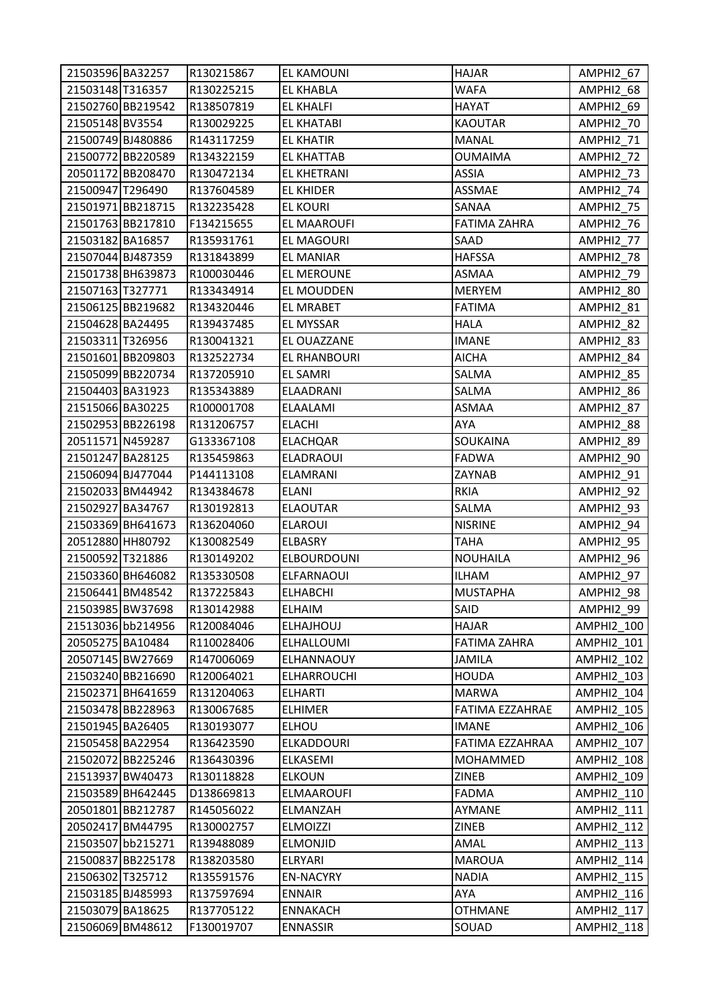| 21503596 BA32257  |                   | R130215867 | EL KAMOUNI         | <b>HAJAR</b>        | AMPHI2_67         |
|-------------------|-------------------|------------|--------------------|---------------------|-------------------|
| 21503148 T316357  |                   | R130225215 | <b>EL KHABLA</b>   | <b>WAFA</b>         | AMPHI2_68         |
|                   | 21502760 BB219542 | R138507819 | EL KHALFI          | HAYAT               | AMPHI2_69         |
| 21505148 BV3554   |                   | R130029225 | <b>EL KHATABI</b>  | <b>KAOUTAR</b>      | AMPHI2_70         |
| 21500749 BJ480886 |                   | R143117259 | <b>EL KHATIR</b>   | <b>MANAL</b>        | AMPHI2_71         |
|                   | 21500772 BB220589 | R134322159 | <b>EL KHATTAB</b>  | <b>OUMAIMA</b>      | AMPHI2_72         |
|                   | 20501172 BB208470 | R130472134 | EL KHETRANI        | <b>ASSIA</b>        | AMPHI2_73         |
| 21500947 T296490  |                   | R137604589 | <b>EL KHIDER</b>   | ASSMAE              | AMPHI2_74         |
|                   | 21501971 BB218715 | R132235428 | <b>EL KOURI</b>    | SANAA               | AMPHI2 75         |
|                   | 21501763 BB217810 | F134215655 | EL MAAROUFI        | <b>FATIMA ZAHRA</b> | AMPHI2_76         |
| 21503182 BA16857  |                   | R135931761 | EL MAGOURI         | SAAD                | AMPHI2_77         |
| 21507044 BJ487359 |                   | R131843899 | EL MANIAR          | <b>HAFSSA</b>       | AMPHI2_78         |
|                   | 21501738 BH639873 | R100030446 | EL MEROUNE         | ASMAA               | AMPHI2_79         |
| 21507163 T327771  |                   | R133434914 | EL MOUDDEN         | <b>MERYEM</b>       | AMPHI2_80         |
|                   | 21506125 BB219682 | R134320446 | EL MRABET          | <b>FATIMA</b>       | AMPHI2_81         |
| 21504628 BA24495  |                   | R139437485 | EL MYSSAR          | <b>HALA</b>         | AMPHI2_82         |
| 21503311 T326956  |                   | R130041321 | EL OUAZZANE        | <b>IMANE</b>        | AMPHI2_83         |
|                   | 21501601 BB209803 | R132522734 | EL RHANBOURI       | <b>AICHA</b>        | AMPHI2_84         |
|                   | 21505099 BB220734 | R137205910 | EL SAMRI           | SALMA               | AMPHI2_85         |
| 21504403 BA31923  |                   | R135343889 | ELAADRANI          | SALMA               | AMPHI2_86         |
| 21515066 BA30225  |                   | R100001708 | ELAALAMI           | ASMAA               | AMPHI2 87         |
|                   | 21502953 BB226198 | R131206757 | <b>ELACHI</b>      | AYA                 | AMPHI2_88         |
| 20511571 N459287  |                   | G133367108 | <b>ELACHQAR</b>    | SOUKAINA            | AMPHI2_89         |
| 21501247 BA28125  |                   | R135459863 | <b>ELADRAOUI</b>   | <b>FADWA</b>        | AMPHI2_90         |
| 21506094 BJ477044 |                   | P144113108 | <b>ELAMRANI</b>    | ZAYNAB              | AMPHI2_91         |
| 21502033 BM44942  |                   | R134384678 | <b>ELANI</b>       | <b>RKIA</b>         | AMPHI2_92         |
| 21502927 BA34767  |                   | R130192813 | <b>ELAOUTAR</b>    | SALMA               | AMPHI2_93         |
|                   | 21503369 BH641673 | R136204060 | <b>ELAROUI</b>     | <b>NISRINE</b>      | AMPHI2 94         |
| 20512880 HH80792  |                   | K130082549 | <b>ELBASRY</b>     | TAHA                | AMPHI2_95         |
| 21500592 T321886  |                   | R130149202 | <b>ELBOURDOUNI</b> | <b>NOUHAILA</b>     | AMPHI2_96         |
|                   | 21503360 BH646082 | R135330508 | <b>ELFARNAOUI</b>  | <b>ILHAM</b>        | AMPHI2_97         |
| 21506441 BM48542  |                   | R137225843 | <b>ELHABCHI</b>    | <b>MUSTAPHA</b>     | AMPHI2 98         |
| 21503985 BW37698  |                   | R130142988 | <b>ELHAIM</b>      | SAID                | AMPHI2 99         |
|                   | 21513036 bb214956 | R120084046 | <b>ELHAJHOUJ</b>   | HAJAR               | AMPHI2_100        |
| 20505275 BA10484  |                   | R110028406 | ELHALLOUMI         | FATIMA ZAHRA        | AMPHI2 101        |
| 20507145 BW27669  |                   | R147006069 | ELHANNAOUY         | <b>JAMILA</b>       | AMPHI2 102        |
|                   | 21503240 BB216690 | R120064021 | <b>ELHARROUCHI</b> | <b>HOUDA</b>        | <b>AMPHI2 103</b> |
|                   | 21502371 BH641659 | R131204063 | <b>ELHARTI</b>     | <b>MARWA</b>        | <b>AMPHI2 104</b> |
|                   | 21503478 BB228963 | R130067685 | <b>ELHIMER</b>     | FATIMA EZZAHRAE     | AMPHI2_105        |
| 21501945 BA26405  |                   | R130193077 | <b>ELHOU</b>       | <b>IMANE</b>        | AMPHI2_106        |
| 21505458 BA22954  |                   | R136423590 | ELKADDOURI         | FATIMA EZZAHRAA     | AMPHI2_107        |
|                   | 21502072 BB225246 | R136430396 | ELKASEMI           | MOHAMMED            | AMPHI2_108        |
| 21513937 BW40473  |                   | R130118828 | <b>ELKOUN</b>      | ZINEB               | AMPHI2_109        |
|                   | 21503589 BH642445 | D138669813 | <b>ELMAAROUFI</b>  | <b>FADMA</b>        | AMPHI2_110        |
|                   | 20501801 BB212787 | R145056022 | ELMANZAH           | AYMANE              | AMPHI2_111        |
| 20502417 BM44795  |                   | R130002757 | <b>ELMOIZZI</b>    | ZINEB               | AMPHI2_112        |
| 21503507 bb215271 |                   | R139488089 | <b>ELMONJID</b>    | AMAL                | AMPHI2_113        |
|                   | 21500837 BB225178 | R138203580 | <b>ELRYARI</b>     | <b>MAROUA</b>       | AMPHI2_114        |
| 21506302 T325712  |                   | R135591576 | <b>EN-NACYRY</b>   | <b>NADIA</b>        | AMPHI2_115        |
| 21503185 BJ485993 |                   | R137597694 | <b>ENNAIR</b>      | AYA                 | AMPHI2_116        |
| 21503079 BA18625  |                   | R137705122 | <b>ENNAKACH</b>    | <b>OTHMANE</b>      | AMPHI2_117        |
| 21506069 BM48612  |                   | F130019707 | <b>ENNASSIR</b>    | SOUAD               | AMPHI2_118        |
|                   |                   |            |                    |                     |                   |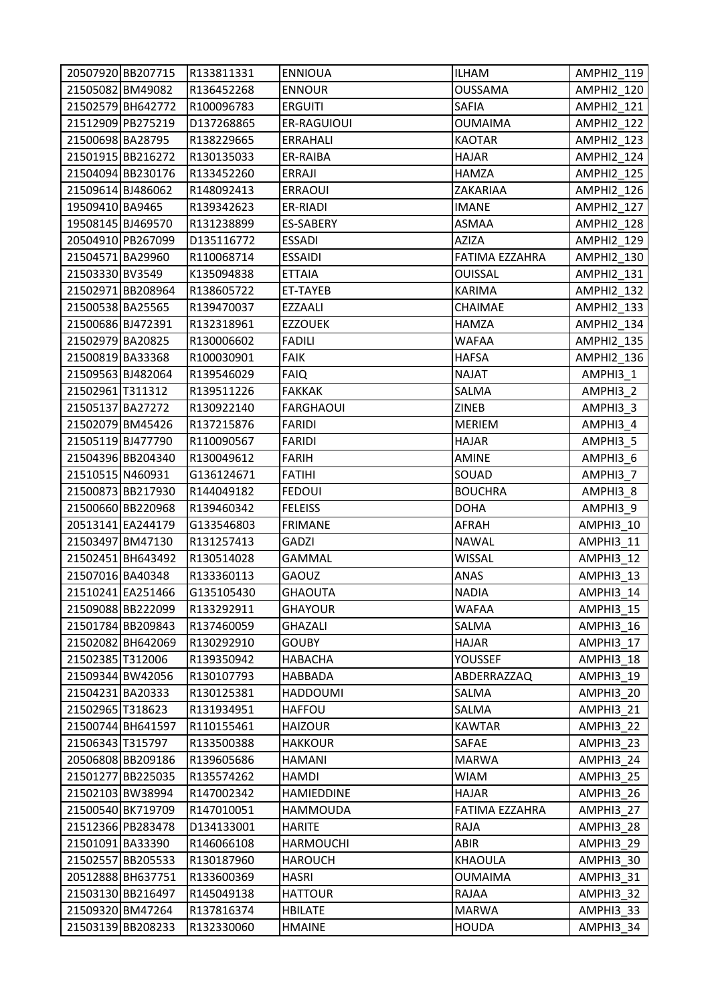|                   | 20507920 BB207715 | R133811331 | <b>ENNIOUA</b>    | <b>ILHAM</b>   | AMPHI2 119        |
|-------------------|-------------------|------------|-------------------|----------------|-------------------|
| 21505082 BM49082  |                   | R136452268 | <b>ENNOUR</b>     | <b>OUSSAMA</b> | AMPHI2_120        |
|                   | 21502579 BH642772 | R100096783 | <b>ERGUITI</b>    | SAFIA          | <b>AMPHI2 121</b> |
|                   | 21512909 PB275219 | D137268865 | ER-RAGUIOUI       | <b>OUMAIMA</b> | AMPHI2_122        |
| 21500698 BA28795  |                   | R138229665 | <b>ERRAHALI</b>   | <b>KAOTAR</b>  | AMPHI2_123        |
|                   | 21501915 BB216272 | R130135033 | ER-RAIBA          | <b>HAJAR</b>   | AMPHI2_124        |
|                   | 21504094 BB230176 | R133452260 | ERRAJI            | <b>HAMZA</b>   | AMPHI2_125        |
| 21509614 BJ486062 |                   | R148092413 | <b>ERRAOUI</b>    | ZAKARIAA       | <b>AMPHI2 126</b> |
| 19509410 BA9465   |                   | R139342623 | ER-RIADI          | <b>IMANE</b>   | <b>AMPHI2 127</b> |
| 19508145 BJ469570 |                   | R131238899 | ES-SABERY         | ASMAA          | <b>AMPHI2 128</b> |
|                   | 20504910 PB267099 | D135116772 | <b>ESSADI</b>     | <b>AZIZA</b>   | <b>AMPHI2 129</b> |
| 21504571 BA29960  |                   | R110068714 | <b>ESSAIDI</b>    | FATIMA EZZAHRA | AMPHI2_130        |
| 21503330 BV3549   |                   | K135094838 | <b>ETTAIA</b>     | <b>OUISSAL</b> | AMPHI2_131        |
|                   | 21502971 BB208964 | R138605722 | ET-TAYEB          | <b>KARIMA</b>  | AMPHI2_132        |
| 21500538 BA25565  |                   | R139470037 | EZZAALI           | CHAIMAE        | <b>AMPHI2 133</b> |
| 21500686 BJ472391 |                   | R132318961 | <b>EZZOUEK</b>    | <b>HAMZA</b>   | AMPHI2_134        |
| 21502979 BA20825  |                   | R130006602 | <b>FADILI</b>     | <b>WAFAA</b>   | AMPHI2_135        |
| 21500819 BA33368  |                   | R100030901 | <b>FAIK</b>       | <b>HAFSA</b>   | <b>AMPHI2 136</b> |
| 21509563 BJ482064 |                   | R139546029 | <b>FAIQ</b>       | <b>NAJAT</b>   | AMPHI3_1          |
| 21502961 T311312  |                   | R139511226 | <b>FAKKAK</b>     | SALMA          | AMPHI3_2          |
| 21505137 BA27272  |                   | R130922140 | <b>FARGHAOUI</b>  | ZINEB          | AMPHI3_3          |
| 21502079 BM45426  |                   | R137215876 | <b>FARIDI</b>     | <b>MERIEM</b>  | AMPHI3_4          |
| 21505119 BJ477790 |                   | R110090567 | <b>FARIDI</b>     | <b>HAJAR</b>   | AMPHI3_5          |
|                   | 21504396 BB204340 | R130049612 | <b>FARIH</b>      | <b>AMINE</b>   | AMPHI3_6          |
| 21510515 N460931  |                   | G136124671 | <b>FATIHI</b>     | SOUAD          | AMPHI3_7          |
|                   | 21500873 BB217930 | R144049182 | <b>FEDOUI</b>     | <b>BOUCHRA</b> | AMPHI3_8          |
|                   | 21500660 BB220968 | R139460342 | <b>FELEISS</b>    | <b>DOHA</b>    | AMPHI3 9          |
|                   | 20513141 EA244179 | G133546803 | <b>FRIMANE</b>    | <b>AFRAH</b>   | AMPHI3_10         |
| 21503497 BM47130  |                   | R131257413 | GADZI             | <b>NAWAL</b>   | AMPHI3 11         |
|                   | 21502451 BH643492 | R130514028 | GAMMAL            | <b>WISSAL</b>  | AMPHI3_12         |
| 21507016 BA40348  |                   | R133360113 | GAOUZ             | ANAS           | AMPHI3 13         |
|                   | 21510241 EA251466 | G135105430 | <b>GHAOUTA</b>    | <b>NADIA</b>   | AMPHI3 14         |
|                   | 21509088 BB222099 | R133292911 | <b>GHAYOUR</b>    | <b>WAFAA</b>   | AMPHI3 15         |
|                   | 21501784 BB209843 | R137460059 | GHAZALI           | SALMA          | AMPHI3 16         |
|                   | 21502082 BH642069 | R130292910 | <b>GOUBY</b>      | <b>HAJAR</b>   | AMPHI3 17         |
| 21502385 T312006  |                   | R139350942 | HABACHA           | YOUSSEF        | AMPHI3 18         |
|                   | 21509344 BW42056  | R130107793 | <b>HABBADA</b>    | ABDERRAZZAQ    | AMPHI3 19         |
| 21504231 BA20333  |                   | R130125381 | HADDOUMI          | SALMA          | AMPHI3 20         |
| 21502965 T318623  |                   | R131934951 | <b>HAFFOU</b>     | SALMA          | AMPHI3_21         |
|                   | 21500744 BH641597 | R110155461 | <b>HAIZOUR</b>    | <b>KAWTAR</b>  | AMPHI3_22         |
| 21506343 T315797  |                   | R133500388 | <b>HAKKOUR</b>    | SAFAE          | AMPHI3 23         |
|                   | 20506808 BB209186 | R139605686 | HAMANI            | <b>MARWA</b>   | AMPHI3 24         |
|                   | 21501277 BB225035 | R135574262 | HAMDI             | <b>WIAM</b>    | AMPHI3_25         |
| 21502103 BW38994  |                   | R147002342 | <b>HAMIEDDINE</b> | <b>HAJAR</b>   | AMPHI3 26         |
|                   | 21500540 BK719709 | R147010051 | HAMMOUDA          | FATIMA EZZAHRA | AMPHI3 27         |
|                   | 21512366 PB283478 | D134133001 | <b>HARITE</b>     | RAJA           | AMPHI3_28         |
| 21501091 BA33390  |                   | R146066108 | <b>HARMOUCHI</b>  | ABIR           | AMPHI3_29         |
|                   | 21502557 BB205533 | R130187960 | <b>HAROUCH</b>    | KHAOULA        | AMPHI3 30         |
|                   | 20512888 BH637751 | R133600369 | HASRI             | <b>OUMAIMA</b> | AMPHI3_31         |
|                   | 21503130 BB216497 | R145049138 | <b>HATTOUR</b>    | RAJAA          | AMPHI3_32         |
| 21509320 BM47264  |                   | R137816374 | <b>HBILATE</b>    | <b>MARWA</b>   | AMPHI3_33         |
|                   | 21503139 BB208233 | R132330060 | <b>HMAINE</b>     | <b>HOUDA</b>   | AMPHI3_34         |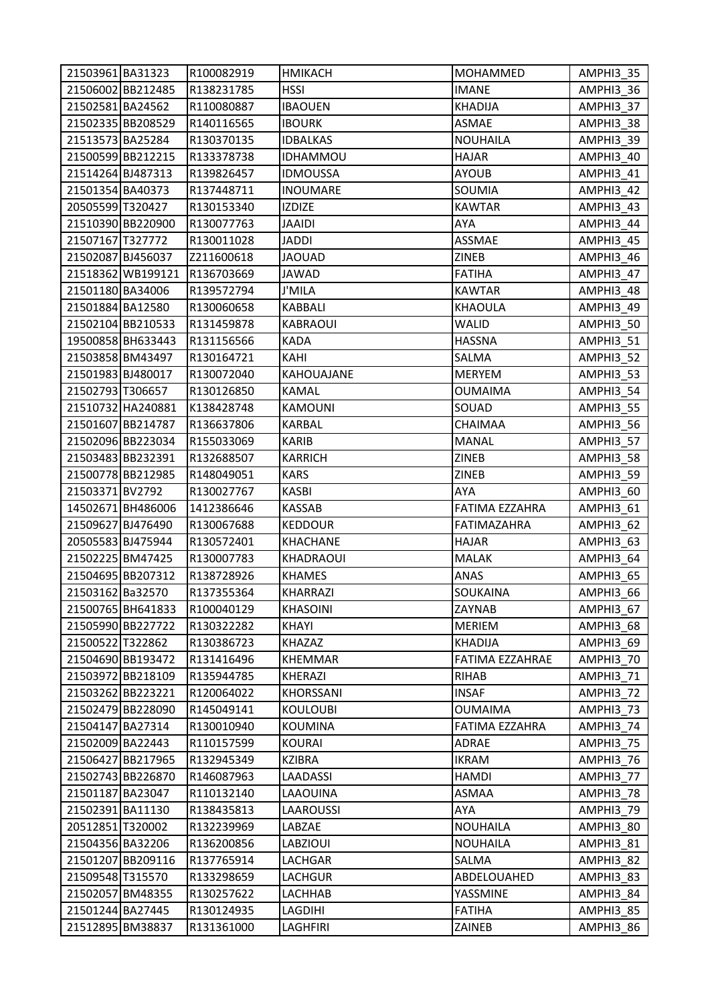| 21503961 BA31323  |                   | R100082919 | <b>HMIKACH</b>  | <b>MOHAMMED</b>    | AMPHI3 35 |
|-------------------|-------------------|------------|-----------------|--------------------|-----------|
|                   | 21506002 BB212485 | R138231785 | <b>HSSI</b>     | <b>IMANE</b>       | AMPHI3_36 |
| 21502581 BA24562  |                   | R110080887 | <b>IBAOUEN</b>  | KHADIJA            | AMPHI3 37 |
|                   | 21502335 BB208529 | R140116565 | <b>IBOURK</b>   | ASMAE              | AMPHI3_38 |
| 21513573 BA25284  |                   | R130370135 | <b>IDBALKAS</b> | <b>NOUHAILA</b>    | AMPHI3_39 |
|                   | 21500599 BB212215 | R133378738 | <b>IDHAMMOU</b> | <b>HAJAR</b>       | AMPHI3_40 |
| 21514264 BJ487313 |                   | R139826457 | <b>IDMOUSSA</b> | <b>AYOUB</b>       | AMPHI3_41 |
| 21501354 BA40373  |                   | R137448711 | <b>INOUMARE</b> | SOUMIA             | AMPHI3_42 |
| 20505599 T320427  |                   | R130153340 | <b>IZDIZE</b>   | <b>KAWTAR</b>      | AMPHI3 43 |
|                   | 21510390 BB220900 | R130077763 | JAAIDI          | AYA                | AMPHI3_44 |
| 21507167 T327772  |                   | R130011028 | <b>JADDI</b>    | <b>ASSMAE</b>      | AMPHI3 45 |
| 21502087 BJ456037 |                   | Z211600618 | <b>JAOUAD</b>   | ZINEB              | AMPHI3_46 |
|                   | 21518362 WB199121 | R136703669 | <b>JAWAD</b>    | <b>FATIHA</b>      | AMPHI3_47 |
| 21501180 BA34006  |                   | R139572794 | J'MILA          | <b>KAWTAR</b>      | AMPHI3 48 |
| 21501884 BA12580  |                   | R130060658 | KABBALI         | <b>KHAOULA</b>     | AMPHI3 49 |
|                   | 21502104 BB210533 | R131459878 | <b>KABRAOUI</b> | <b>WALID</b>       | AMPHI3_50 |
|                   | 19500858 BH633443 | R131156566 | <b>KADA</b>     | <b>HASSNA</b>      | AMPHI3_51 |
| 21503858 BM43497  |                   | R130164721 | KAHI            | SALMA              | AMPHI3_52 |
| 21501983 BJ480017 |                   | R130072040 | KAHOUAJANE      | MERYEM             | AMPHI3_53 |
| 21502793 T306657  |                   | R130126850 | KAMAL           | <b>OUMAIMA</b>     | AMPHI3_54 |
|                   | 21510732 HA240881 | K138428748 | <b>KAMOUNI</b>  | SOUAD              | AMPHI3_55 |
|                   | 21501607 BB214787 | R136637806 | KARBAL          | CHAIMAA            | AMPHI3_56 |
|                   | 21502096 BB223034 | R155033069 | <b>KARIB</b>    | <b>MANAL</b>       | AMPHI3_57 |
|                   | 21503483 BB232391 | R132688507 | <b>KARRICH</b>  | ZINEB              | AMPHI3_58 |
|                   | 21500778 BB212985 | R148049051 | <b>KARS</b>     | <b>ZINEB</b>       | AMPHI3_59 |
| 21503371 BV2792   |                   | R130027767 | <b>KASBI</b>    | AYA                | AMPHI3_60 |
|                   | 14502671 BH486006 | 1412386646 | KASSAB          | FATIMA EZZAHRA     | AMPHI3_61 |
| 21509627 BJ476490 |                   | R130067688 | <b>KEDDOUR</b>  | <b>FATIMAZAHRA</b> | AMPHI3_62 |
| 20505583 BJ475944 |                   | R130572401 | <b>KHACHANE</b> | <b>HAJAR</b>       | AMPHI3_63 |
| 21502225 BM47425  |                   | R130007783 | KHADRAOUI       | MALAK              | AMPHI3_64 |
|                   | 21504695 BB207312 | R138728926 | <b>KHAMES</b>   | ANAS               | AMPHI3_65 |
| 21503162 Ba32570  |                   | R137355364 | <b>KHARRAZI</b> | SOUKAINA           | AMPHI3 66 |
|                   | 21500765 BH641833 | R100040129 | <b>KHASOINI</b> | ZAYNAB             | AMPHI3 67 |
|                   | 21505990 BB227722 | R130322282 | KHAYI           | <b>MERIEM</b>      | AMPHI3_68 |
| 21500522 T322862  |                   | R130386723 | <b>KHAZAZ</b>   | <b>KHADIJA</b>     | AMPHI3 69 |
|                   | 21504690 BB193472 | R131416496 | KHEMMAR         | FATIMA EZZAHRAE    | AMPHI3 70 |
|                   | 21503972 BB218109 | R135944785 | KHERAZI         | RIHAB              | AMPHI3 71 |
|                   | 21503262 BB223221 | R120064022 | KHORSSANI       | <b>INSAF</b>       | AMPHI3 72 |
|                   | 21502479 BB228090 | R145049141 | <b>KOULOUBI</b> | <b>OUMAIMA</b>     | AMPHI3_73 |
| 21504147 BA27314  |                   | R130010940 | <b>KOUMINA</b>  | FATIMA EZZAHRA     | AMPHI3_74 |
| 21502009 BA22443  |                   | R110157599 | <b>KOURAI</b>   | ADRAE              | AMPHI3_75 |
|                   | 21506427 BB217965 | R132945349 | KZIBRA          | IKRAM              | AMPHI3 76 |
|                   | 21502743 BB226870 | R146087963 | LAADASSI        | <b>HAMDI</b>       | AMPHI3 77 |
| 21501187 BA23047  |                   | R110132140 | LAAOUINA        | ASMAA              | AMPHI3 78 |
| 21502391 BA11130  |                   | R138435813 | LAAROUSSI       | AYA                | AMPHI3 79 |
| 20512851 T320002  |                   | R132239969 | LABZAE          | <b>NOUHAILA</b>    | AMPHI3_80 |
| 21504356 BA32206  |                   | R136200856 | LABZIOUI        | <b>NOUHAILA</b>    | AMPHI3_81 |
|                   | 21501207 BB209116 | R137765914 | LACHGAR         | SALMA              | AMPHI3 82 |
| 21509548 T315570  |                   | R133298659 | LACHGUR         | ABDELOUAHED        | AMPHI3_83 |
| 21502057 BM48355  |                   | R130257622 | LACHHAB         | YASSMINE           | AMPHI3_84 |
| 21501244 BA27445  |                   | R130124935 | LAGDIHI         | <b>FATIHA</b>      | AMPHI3_85 |
| 21512895 BM38837  |                   | R131361000 | LAGHFIRI        | ZAINEB             | AMPHI3_86 |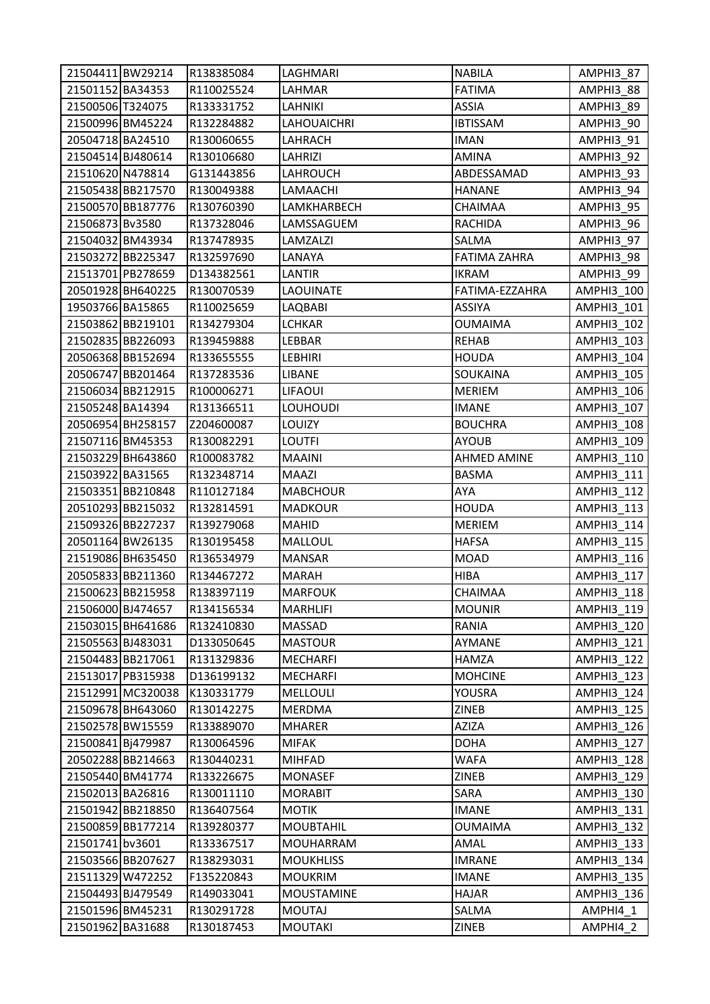| 21504411 BW29214  |                   | R138385084 | LAGHMARI           | <b>NABILA</b>       | AMPHI3_87         |
|-------------------|-------------------|------------|--------------------|---------------------|-------------------|
| 21501152 BA34353  |                   | R110025524 | LAHMAR             | <b>FATIMA</b>       | AMPHI3_88         |
| 21500506 T324075  |                   | R133331752 | LAHNIKI            | <b>ASSIA</b>        | AMPHI3 89         |
| 21500996 BM45224  |                   | R132284882 | <b>LAHOUAICHRI</b> | <b>IBTISSAM</b>     | AMPHI3_90         |
| 20504718 BA24510  |                   | R130060655 | LAHRACH            | <b>IMAN</b>         | AMPHI3_91         |
| 21504514 BJ480614 |                   | R130106680 | LAHRIZI            | AMINA               | AMPHI3_92         |
| 21510620 N478814  |                   | G131443856 | LAHROUCH           | ABDESSAMAD          | AMPHI3_93         |
| 21505438BB217570  |                   | R130049388 | LAMAACHI           | <b>HANANE</b>       | AMPHI3_94         |
|                   | 21500570 BB187776 | R130760390 | LAMKHARBECH        | CHAIMAA             | AMPHI3 95         |
| 21506873 Bv3580   |                   | R137328046 | LAMSSAGUEM         | <b>RACHIDA</b>      | AMPHI3_96         |
| 21504032 BM43934  |                   | R137478935 | LAMZALZI           | SALMA               | AMPHI3_97         |
|                   | 21503272 BB225347 | R132597690 | LANAYA             | <b>FATIMA ZAHRA</b> | AMPHI3_98         |
|                   | 21513701 PB278659 | D134382561 | LANTIR             | <b>IKRAM</b>        | AMPHI3_99         |
|                   | 20501928 BH640225 | R130070539 | <b>LAOUINATE</b>   | FATIMA-EZZAHRA      | AMPHI3_100        |
| 19503766 BA15865  |                   | R110025659 | LAQBABI            | <b>ASSIYA</b>       | AMPHI3_101        |
|                   | 21503862 BB219101 | R134279304 | <b>LCHKAR</b>      | <b>OUMAIMA</b>      | AMPHI3_102        |
|                   | 21502835 BB226093 | R139459888 | LEBBAR             | <b>REHAB</b>        | AMPHI3 103        |
|                   | 20506368 BB152694 | R133655555 | <b>LEBHIRI</b>     | <b>HOUDA</b>        | AMPHI3_104        |
|                   | 20506747 BB201464 | R137283536 | <b>LIBANE</b>      | SOUKAINA            | AMPHI3 105        |
|                   | 21506034 BB212915 | R100006271 | <b>LIFAOUI</b>     | <b>MERIEM</b>       | AMPHI3 106        |
| 21505248 BA14394  |                   | R131366511 | <b>LOUHOUDI</b>    | <b>IMANE</b>        | AMPHI3_107        |
|                   | 20506954 BH258157 | Z204600087 | LOUIZY             | <b>BOUCHRA</b>      | AMPHI3_108        |
| 21507116 BM45353  |                   | R130082291 | <b>LOUTFI</b>      | <b>AYOUB</b>        | AMPHI3 109        |
|                   | 21503229 BH643860 | R100083782 | MAAINI             | <b>AHMED AMINE</b>  | AMPHI3_110        |
| 21503922 BA31565  |                   | R132348714 | MAAZI              | <b>BASMA</b>        | AMPHI3_111        |
|                   | 21503351 BB210848 | R110127184 | <b>MABCHOUR</b>    | <b>AYA</b>          | AMPHI3_112        |
|                   | 20510293 BB215032 | R132814591 | <b>MADKOUR</b>     | <b>HOUDA</b>        | AMPHI3 113        |
|                   | 21509326 BB227237 | R139279068 | <b>MAHID</b>       | <b>MERIEM</b>       | AMPHI3_114        |
| 20501164 BW26135  |                   | R130195458 | <b>MALLOUL</b>     | <b>HAFSA</b>        | AMPHI3 115        |
|                   | 21519086 BH635450 | R136534979 | <b>MANSAR</b>      | <b>MOAD</b>         | AMPHI3_116        |
|                   | 20505833 BB211360 | R134467272 | <b>MARAH</b>       | <b>HIBA</b>         | AMPHI3 117        |
|                   | 21500623 BB215958 | R138397119 | <b>MARFOUK</b>     | CHAIMAA             | AMPHI3 118        |
| 21506000 BJ474657 |                   | R134156534 | <b>MARHLIFI</b>    | <b>MOUNIR</b>       | AMPHI3 119        |
|                   | 21503015 BH641686 | R132410830 | MASSAD             | <b>RANIA</b>        | AMPHI3_120        |
| 21505563 BJ483031 |                   | D133050645 | <b>MASTOUR</b>     | AYMANE              | AMPHI3_121        |
| 21504483 BB217061 |                   | R131329836 | MECHARFI           | HAMZA               | AMPHI3_122        |
|                   | 21513017 PB315938 | D136199132 | MECHARFI           | <b>MOHCINE</b>      | AMPHI3_123        |
|                   | 21512991 MC320038 | K130331779 | MELLOULI           | YOUSRA              | AMPHI3_124        |
|                   | 21509678 BH643060 | R130142275 | MERDMA             | ZINEB               | <b>AMPHI3 125</b> |
| 21502578 BW15559  |                   | R133889070 | <b>MHARER</b>      | AZIZA               | AMPHI3_126        |
| 21500841 Bj479987 |                   | R130064596 | MIFAK              | <b>DOHA</b>         | AMPHI3_127        |
|                   | 20502288 BB214663 | R130440231 | <b>MIHFAD</b>      | WAFA                | <b>AMPHI3 128</b> |
| 21505440 BM41774  |                   | R133226675 | <b>MONASEF</b>     | ZINEB               | AMPHI3 129        |
| 21502013 BA26816  |                   | R130011110 | <b>MORABIT</b>     | SARA                | AMPHI3_130        |
|                   | 21501942 BB218850 | R136407564 | <b>MOTIK</b>       | <b>IMANE</b>        | AMPHI3_131        |
|                   | 21500859 BB177214 | R139280377 | <b>MOUBTAHIL</b>   | <b>OUMAIMA</b>      | AMPHI3_132        |
| 21501741 bv3601   |                   | R133367517 | MOUHARRAM          | AMAL                | AMPHI3_133        |
|                   | 21503566 BB207627 | R138293031 | <b>MOUKHLISS</b>   | <b>IMRANE</b>       | <b>AMPHI3 134</b> |
| 21511329 W472252  |                   | F135220843 | <b>MOUKRIM</b>     | <b>IMANE</b>        | <b>AMPHI3 135</b> |
| 21504493 BJ479549 |                   | R149033041 | <b>MOUSTAMINE</b>  | <b>HAJAR</b>        | <b>AMPHI3 136</b> |
| 21501596 BM45231  |                   | R130291728 | <b>MOUTAJ</b>      | SALMA               | AMPHI4_1          |
| 21501962 BA31688  |                   | R130187453 | <b>MOUTAKI</b>     | ZINEB               | AMPHI4 2          |
|                   |                   |            |                    |                     |                   |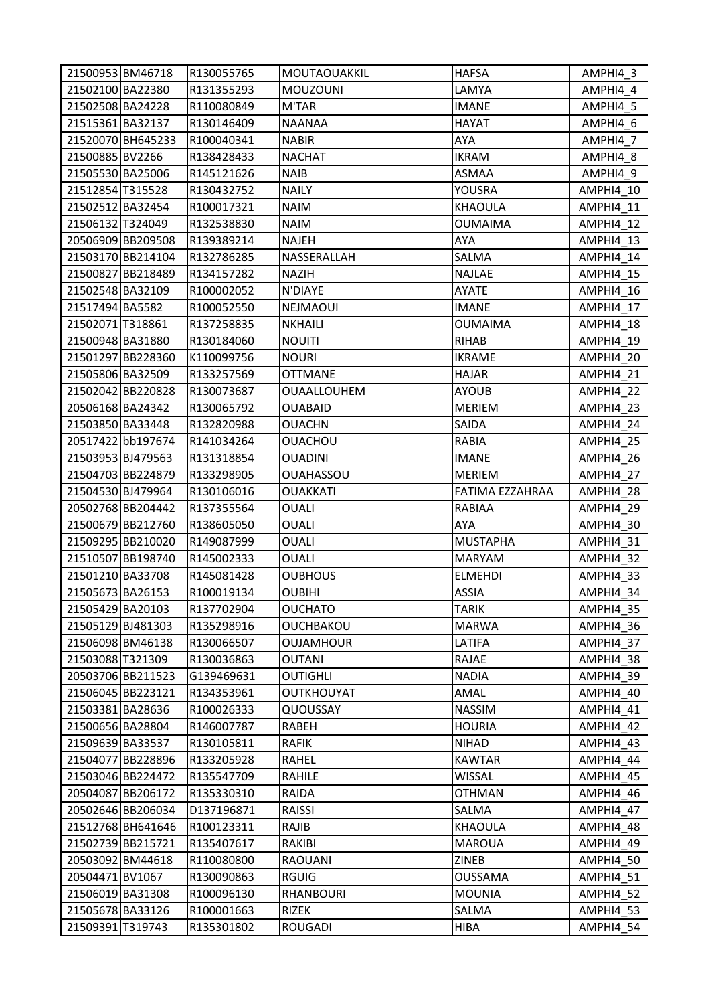| 21500953 BM46718                     |                   | R130055765 | <b>MOUTAOUAKKIL</b>     | <b>HAFSA</b>         | AMPHI4 3               |
|--------------------------------------|-------------------|------------|-------------------------|----------------------|------------------------|
| 21502100 BA22380                     |                   | R131355293 | <b>MOUZOUNI</b>         | LAMYA                | AMPHI4_4               |
| 21502508 BA24228                     |                   | R110080849 | M'TAR                   | <b>IMANE</b>         | AMPHI4 5               |
| 21515361 BA32137                     |                   | R130146409 | <b>NAANAA</b>           | HAYAT                | AMPHI4_6               |
|                                      | 21520070 BH645233 | R100040341 | <b>NABIR</b>            | AYA                  | AMPHI4_7               |
| 21500885 BV2266                      |                   | R138428433 | <b>NACHAT</b>           | <b>IKRAM</b>         | AMPHI4_8               |
| 21505530 BA25006                     |                   | R145121626 | <b>NAIB</b>             | ASMAA                | AMPHI4_9               |
| 21512854 T315528                     |                   | R130432752 | <b>NAILY</b>            | YOUSRA               | AMPHI4_10              |
| 21502512 BA32454                     |                   | R100017321 | <b>NAIM</b>             | KHAOULA              | AMPHI4 11              |
| 21506132 T324049                     |                   | R132538830 | <b>NAIM</b>             | <b>OUMAIMA</b>       | AMPHI4_12              |
|                                      | 20506909 BB209508 | R139389214 | <b>NAJEH</b>            | AYA                  | AMPHI4 13              |
|                                      | 21503170 BB214104 | R132786285 | NASSERALLAH             | SALMA                | AMPHI4 14              |
|                                      | 21500827 BB218489 | R134157282 | <b>NAZIH</b>            | NAJLAE               | AMPHI4_15              |
| 21502548 BA32109                     |                   | R100002052 | N'DIAYE                 | AYATE                | AMPHI4 16              |
| 21517494 BA5582                      |                   | R100052550 | <b>NEJMAOUI</b>         | IMANE                | AMPHI4 17              |
| 21502071 T318861                     |                   | R137258835 | <b>NKHAILI</b>          | <b>OUMAIMA</b>       | AMPHI4 18              |
| 21500948 BA31880                     |                   | R130184060 | <b>NOUITI</b>           | RIHAB                | AMPHI4 19              |
|                                      | 21501297 BB228360 | K110099756 | <b>NOURI</b>            | <b>IKRAME</b>        | AMPHI4 20              |
| 21505806 BA32509                     |                   | R133257569 | <b>OTTMANE</b>          | HAJAR                | AMPHI4_21              |
|                                      | 21502042 BB220828 | R130073687 | <b>OUAALLOUHEM</b>      | <b>AYOUB</b>         | AMPHI4_22              |
| 20506168 BA24342                     |                   | R130065792 | <b>OUABAID</b>          | <b>MERIEM</b>        | AMPHI4_23              |
| 21503850 BA33448                     |                   | R132820988 | <b>OUACHN</b>           | SAIDA                | AMPHI4 24              |
|                                      | 20517422 bb197674 | R141034264 | <b>OUACHOU</b>          | RABIA                | AMPHI4 25              |
| 21503953 BJ479563                    |                   | R131318854 | <b>OUADINI</b>          | <b>IMANE</b>         | AMPHI4_26              |
|                                      | 21504703 BB224879 | R133298905 | <b>OUAHASSOU</b>        | <b>MERIEM</b>        | AMPHI4_27              |
| 21504530 BJ479964                    |                   | R130106016 | <b>OUAKKATI</b>         | FATIMA EZZAHRAA      | AMPHI4_28              |
|                                      | 20502768 BB204442 | R137355564 | OUALI                   | RABIAA               | AMPHI4_29              |
|                                      | 21500679 BB212760 | R138605050 | <b>OUALI</b>            | AYA                  | AMPHI4_30              |
|                                      | 21509295 BB210020 | R149087999 | OUALI                   | <b>MUSTAPHA</b>      | AMPHI4_31              |
|                                      | 21510507 BB198740 | R145002333 | OUALI                   | MARYAM               | AMPHI4 32              |
| 21501210 BA33708                     |                   | R145081428 | <b>OUBHOUS</b>          | <b>ELMEHDI</b>       | AMPHI4_33              |
|                                      |                   |            |                         | <b>ASSIA</b>         |                        |
| 21505673 BA26153                     |                   | R100019134 | <b>OUBIHI</b>           |                      | AMPHI4 34              |
| 21505429 BA20103                     |                   | R137702904 | <b>OUCHATO</b>          | TARIK                | AMPHI4 35              |
| 21505129 BJ481303                    |                   | R135298916 | OUCHBAKOU               | <b>MARWA</b>         | AMPHI4_36              |
| 21506098 BM46138                     |                   | R130066507 | <b>OUJAMHOUR</b>        | LATIFA               | AMPHI4 37              |
| 21503088 T321309                     |                   | R130036863 | OUTANI                  | RAJAE                | AMPHI4 38              |
|                                      | 20503706 BB211523 | G139469631 | <b>OUTIGHLI</b>         | <b>NADIA</b>         | AMPHI4 39              |
|                                      | 21506045 BB223121 | R134353961 | OUTKHOUYAT              | AMAL                 | AMPHI4 40              |
| 21503381 BA28636                     |                   | R100026333 | QUOUSSAY                | <b>NASSIM</b>        | AMPHI4_41              |
| 21500656 BA28804                     |                   | R146007787 | RABEH                   | <b>HOURIA</b>        | <b>AMPHI4_42</b>       |
| 21509639 BA33537                     |                   | R130105811 | <b>RAFIK</b>            | NIHAD                | AMPHI4_43              |
|                                      | 21504077 BB228896 | R133205928 | RAHEL                   | KAWTAR               | AMPHI4 44              |
|                                      | 21503046 BB224472 | R135547709 | RAHILE                  | <b>WISSAL</b>        | AMPHI4 45              |
|                                      | 20504087 BB206172 | R135330310 | RAIDA                   | <b>OTHMAN</b>        | AMPHI4_46              |
|                                      | 20502646 BB206034 | D137196871 | RAISSI                  | SALMA                | AMPHI4_47              |
|                                      | 21512768 BH641646 | R100123311 | RAJIB                   | KHAOULA              | AMPHI4_48              |
|                                      | 21502739 BB215721 | R135407617 | RAKIBI                  | <b>MAROUA</b>        | AMPHI4_49              |
| 20503092 BM44618                     |                   | R110080800 | RAOUANI                 | ZINEB                | AMPHI4_50              |
| 20504471 BV1067                      |                   | R130090863 | <b>RGUIG</b>            | <b>OUSSAMA</b>       | AMPHI4_51              |
| 21506019 BA31308                     |                   | R100096130 | RHANBOURI               | <b>MOUNIA</b>        | AMPHI4_52              |
| 21505678 BA33126<br>21509391 T319743 |                   | R100001663 | RIZEK<br><b>ROUGADI</b> | SALMA<br><b>HIBA</b> | AMPHI4_53<br>AMPHI4_54 |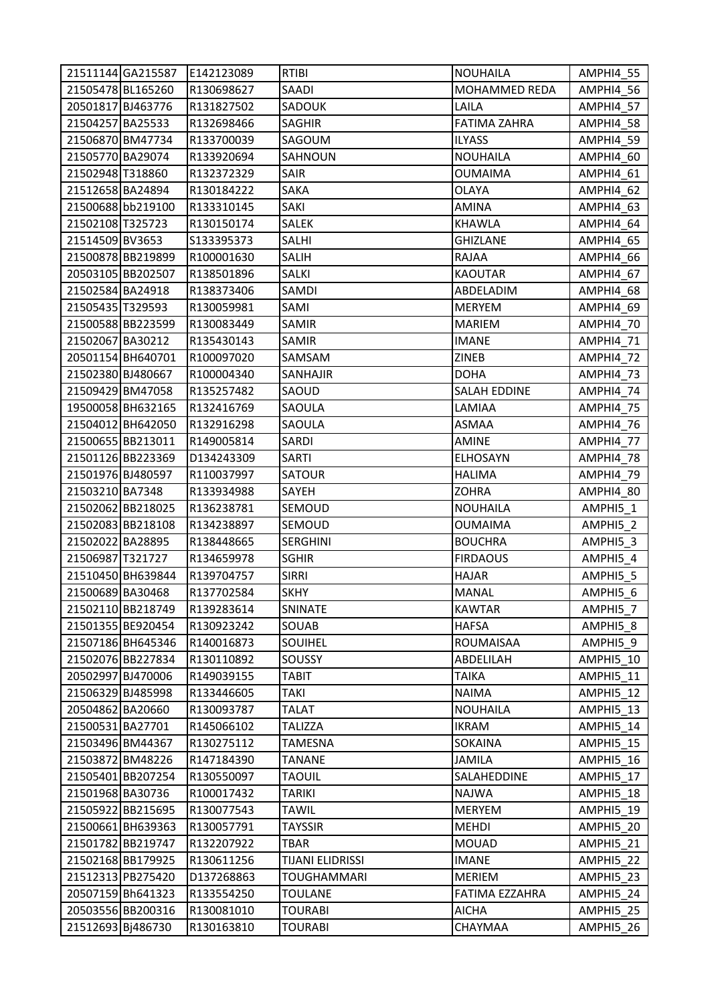|                   | 21511144 GA215587 | E142123089  | <b>RTIBI</b>       | <b>NOUHAILA</b>     | AMPHI4_55        |
|-------------------|-------------------|-------------|--------------------|---------------------|------------------|
| 21505478 BL165260 |                   | R130698627  | SAADI              | MOHAMMED REDA       | AMPHI4_56        |
| 20501817 BJ463776 |                   | R131827502  | SADOUK             | LAILA               | AMPHI4 57        |
| 21504257 BA25533  |                   | R132698466  | <b>SAGHIR</b>      | <b>FATIMA ZAHRA</b> | AMPHI4_58        |
| 21506870 BM47734  |                   | R133700039  | SAGOUM             | <b>ILYASS</b>       | AMPHI4 59        |
| 21505770 BA29074  |                   | R133920694  | SAHNOUN            | <b>NOUHAILA</b>     | AMPHI4_60        |
| 21502948 T318860  |                   | R132372329  | SAIR               | <b>OUMAIMA</b>      | AMPHI4_61        |
| 21512658 BA24894  |                   | R130184222  | SAKA               | OLAYA               | AMPHI4_62        |
| 21500688 bb219100 |                   | R133310145  | SAKI               | AMINA               | AMPHI4_63        |
| 21502108 T325723  |                   | R130150174  | SALEK              | <b>KHAWLA</b>       | AMPHI4_64        |
| 21514509 BV3653   |                   | \$133395373 | <b>SALHI</b>       | <b>GHIZLANE</b>     | AMPHI4_65        |
| 21500878 BB219899 |                   | R100001630  | SALIH              | RAJAA               | AMPHI4_66        |
|                   | 20503105 BB202507 | R138501896  | SALKI              | <b>KAOUTAR</b>      | AMPHI4_67        |
| 21502584 BA24918  |                   | R138373406  | SAMDI              | ABDELADIM           | AMPHI4_68        |
| 21505435 T329593  |                   | R130059981  | SAMI               | <b>MERYEM</b>       | AMPHI4_69        |
|                   | 21500588 BB223599 | R130083449  | <b>SAMIR</b>       | <b>MARIEM</b>       | AMPHI4_70        |
| 21502067 BA30212  |                   | R135430143  | <b>SAMIR</b>       | <b>IMANE</b>        | AMPHI4_71        |
|                   | 20501154 BH640701 | R100097020  | SAMSAM             | ZINEB               | <b>AMPHI4 72</b> |
| 21502380 BJ480667 |                   | R100004340  | SANHAJIR           | DOHA                | AMPHI4_73        |
| 21509429 BM47058  |                   | R135257482  | SAOUD              | <b>SALAH EDDINE</b> | AMPHI4_74        |
|                   | 19500058 BH632165 | R132416769  | SAOULA             | LAMIAA              | AMPHI4_75        |
|                   | 21504012 BH642050 | R132916298  | SAOULA             | <b>ASMAA</b>        | AMPHI4_76        |
|                   | 21500655 BB213011 | R149005814  | SARDI              | <b>AMINE</b>        | AMPHI4_77        |
|                   | 21501126 BB223369 | D134243309  | SARTI              | <b>ELHOSAYN</b>     | AMPHI4_78        |
| 21501976 BJ480597 |                   | R110037997  | <b>SATOUR</b>      | <b>HALIMA</b>       | AMPHI4_79        |
| 21503210 BA7348   |                   | R133934988  | SAYEH              | <b>ZOHRA</b>        | AMPHI4_80        |
| 21502062 BB218025 |                   | R136238781  | SEMOUD             | <b>NOUHAILA</b>     | AMPHI5_1         |
|                   | 21502083 BB218108 | R134238897  | SEMOUD             | <b>OUMAIMA</b>      | AMPHI5_2         |
| 21502022 BA28895  |                   | R138448665  | <b>SERGHINI</b>    | <b>BOUCHRA</b>      | AMPHI5_3         |
| 21506987 T321727  |                   | R134659978  | <b>SGHIR</b>       | <b>FIRDAOUS</b>     | AMPHI5 4         |
|                   | 21510450 BH639844 | R139704757  | <b>SIRRI</b>       | <b>HAJAR</b>        | AMPHI5_5         |
| 21500689 BA30468  |                   | R137702584  | <b>SKHY</b>        | <b>MANAL</b>        | AMPHI5 6         |
|                   | 21502110 BB218749 | R139283614  | SNINATE            | KAWTAR              | AMPHI5 7         |
|                   | 21501355 BE920454 | R130923242  | SOUAB              | <b>HAFSA</b>        | AMPHI5_8         |
|                   | 21507186 BH645346 | R140016873  | SOUIHEL            | ROUMAISAA           | AMPHI5_9         |
|                   | 21502076 BB227834 | R130110892  | <b>SOUSSY</b>      | ABDELILAH           | AMPHI5 10        |
| 20502997 BJ470006 |                   | R149039155  | TABIT              | <b>TAIKA</b>        | AMPHI5 11        |
| 21506329 BJ485998 |                   | R133446605  | <b>TAKI</b>        | <b>NAIMA</b>        | AMPHI5 12        |
| 20504862 BA20660  |                   | R130093787  | <b>TALAT</b>       | <b>NOUHAILA</b>     | AMPHI5_13        |
| 21500531 BA27701  |                   | R145066102  | <b>TALIZZA</b>     | <b>IKRAM</b>        | AMPHI5_14        |
| 21503496 BM44367  |                   | R130275112  | <b>TAMESNA</b>     | <b>SOKAINA</b>      | AMPHI5 15        |
| 21503872 BM48226  |                   | R147184390  | TANANE             | <b>JAMILA</b>       | AMPHI5 16        |
|                   | 21505401 BB207254 | R130550097  | <b>TAOUIL</b>      | SALAHEDDINE         | AMPHI5 17        |
| 21501968 BA30736  |                   | R100017432  | TARIKI             | <b>NAJWA</b>        | AMPHI5_18        |
|                   | 21505922 BB215695 | R130077543  | TAWIL              | <b>MERYEM</b>       | AMPHI5 19        |
|                   | 21500661 BH639363 | R130057791  | <b>TAYSSIR</b>     | <b>MEHDI</b>        | AMPHI5_20        |
|                   | 21501782 BB219747 | R132207922  | TBAR               | <b>MOUAD</b>        | AMPHI5_21        |
|                   | 21502168 BB179925 | R130611256  | TIJANI ELIDRISSI   | <b>IMANE</b>        | AMPHI5 22        |
|                   | 21512313 PB275420 | D137268863  | <b>TOUGHAMMARI</b> | MERIEM              | AMPHI5_23        |
|                   | 20507159 Bh641323 | R133554250  | <b>TOULANE</b>     | FATIMA EZZAHRA      | AMPHI5_24        |
|                   | 20503556 BB200316 | R130081010  | <b>TOURABI</b>     | <b>AICHA</b>        | AMPHI5 25        |
| 21512693 Bj486730 |                   | R130163810  | <b>TOURABI</b>     | CHAYMAA             | AMPHI5_26        |